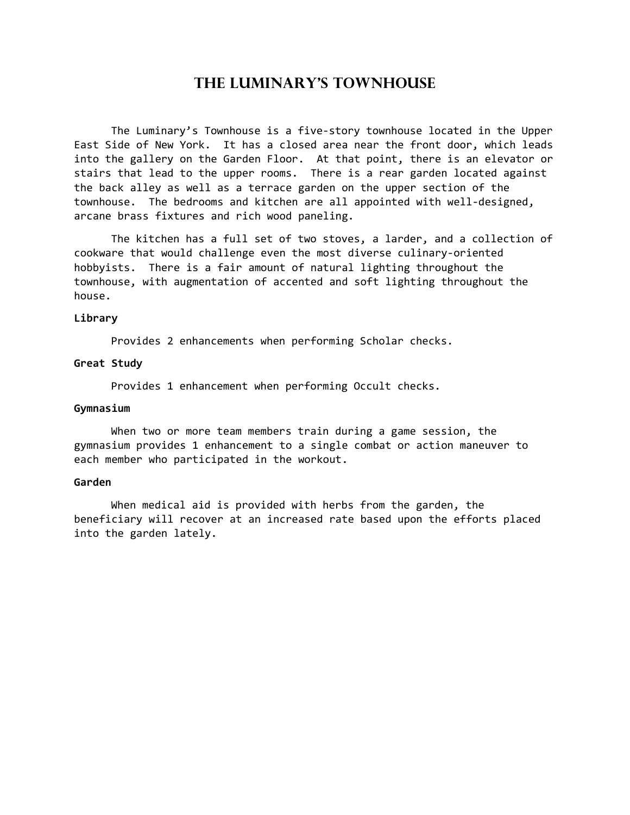# The Luminary's Townhouse

 The Luminary's Townhouse is a five-story townhouse located in the Upper East Side of New York. It has a closed area near the front door, which leads into the gallery on the Garden Floor. At that point, there is an elevator or stairs that lead to the upper rooms. There is a rear garden located against the back alley as well as a terrace garden on the upper section of the townhouse. The bedrooms and kitchen are all appointed with well-designed, arcane brass fixtures and rich wood paneling.

 The kitchen has a full set of two stoves, a larder, and a collection of cookware that would challenge even the most diverse culinary-oriented hobbyists. There is a fair amount of natural lighting throughout the townhouse, with augmentation of accented and soft lighting throughout the house.

### Library

Provides 2 enhancements when performing Scholar checks.

## Great Study

Provides 1 enhancement when performing Occult checks.

#### Gymnasium

 When two or more team members train during a game session, the gymnasium provides 1 enhancement to a single combat or action maneuver to each member who participated in the workout.

# Garden

 When medical aid is provided with herbs from the garden, the beneficiary will recover at an increased rate based upon the efforts placed into the garden lately.